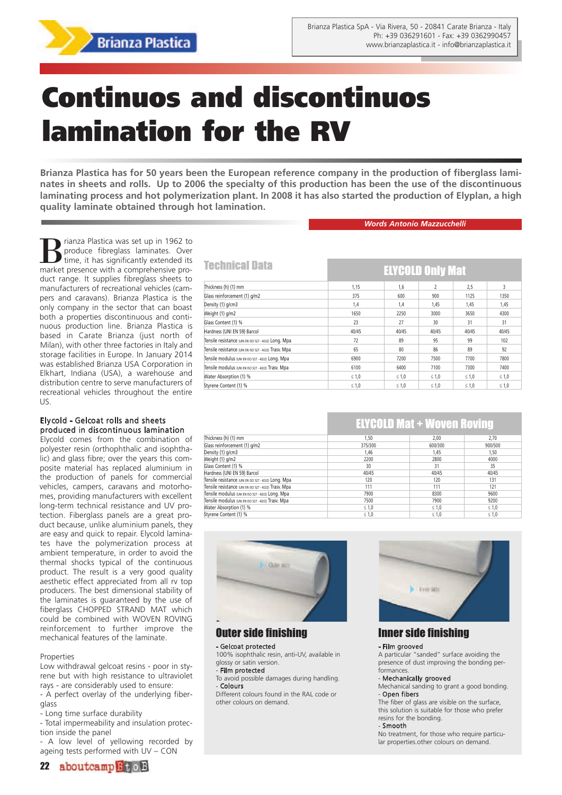

# **Continuos and discontinuos lamination for the RV**

**Brianza Plastica has for 50 years been the European reference company in the production of fiberglass laminates in sheets and rolls. Up to 2006 the specialty of this production has been the use of the discontinuous laminating process and hot polymerization plant. In 2008 it has also started the production of Elyplan, a high quality laminate obtained through hot lamination.**

*Words Antonio Mazzucchelli*

ELYCOLD Only Mat

**B** rianza Plastica was set up in 1962 to produce fibreglass laminates. Over time, it has significantly extended its produce fibreglass laminates. Over time, it has significantly extended its market presence with a comprehensive product range. It supplies fibreglass sheets to manufacturers of recreational vehicles (campers and caravans). Brianza Plastica is the only company in the sector that can boast both a properties discontinuous and continuous production line. Brianza Plastica is based in Carate Brianza (just north of Milan), with other three factories in Italy and storage facilities in Europe. In January 2014 was established Brianza USA Corporation in Elkhart, Indiana (USA), a warehouse and distribution centre to serve manufacturers of recreational vehicles throughout the entire US.

#### Ely cold - Gelcoat rolls and sheets produced in discontinuous lamination

Elycold comes from the combination of polyester resin (orthophthalic and isophthalic) and glass fibre; over the years this composite material has replaced aluminium in the production of panels for commercial vehicles, campers, caravans and motorhomes, providing manufacturers with excellent long-term technical resistance and UV protection. Fiberglass panels are a great product because, unlike aluminium panels, they are easy and quick to repair. Elycold laminates have the polymerization process at ambient temperature, in order to avoid the thermal shocks typical of the continuous product. The result is a very good quality aesthetic effect appreciated from all rv top producers. The best dimensional stability of the laminates is guaranteed by the use of fiberglass CHOPPED STRAND MAT which could be combined with WOVEN ROVING reinforcement to further improve the mechanical features of the laminate.

#### **Properties**

Low withdrawal gelcoat resins - poor in styrene but with high resistance to ultraviolet rays - are considerably used to ensure:

- A perfect overlay of the underlying fiberglass
- Long time surface durability

- Total impermeability and insulation protection inside the panel

- A low level of yellowing recorded by ageing tests performed with UV – CON

|  | 22 aboutcamp <sup>B</sup> toB |  |
|--|-------------------------------|--|
|--|-------------------------------|--|

# **Technical Data**

| Thickness (h) (1) mm                                   | 1.15       | 1,6        | $\overline{2}$ | 2,5        | 3          |  |  |
|--------------------------------------------------------|------------|------------|----------------|------------|------------|--|--|
| Glass reinforcement (1) g/m2                           | 375        | 600        | 900            | 1125       | 1350       |  |  |
| Density (1) g/cm3                                      | 1,4        | 1,4        | 1,45           | 1,45       | 1,45       |  |  |
| Weight (1) g/m2                                        | 1650       | 2250       | 3000           | 3650       | 4300       |  |  |
| Glass Content (1) %                                    | 23         | 27         | 30             | 31         | 31         |  |  |
| Hardness (UNI EN 59) Barcol                            | 40/45      | 40/45      | 40/45          | 40/45      | 40/45      |  |  |
| Tensile resistance (UNI EN ISO 527 - 4/2/2) Long. Mpa  | 72         | 89         | 95             | 99         | 102        |  |  |
| Tensile resistance (UNI EN ISO 527 - 4/2/2) Trasv. Mpa | 65         | 80         | 86             | 89         | 92         |  |  |
| Tensile modulus (UNI EN ISO 527 - 4/2/2) Long. Mpa     | 6900       | 7200       | 7500           | 7700       | 7800       |  |  |
| Tensile modulus (UNI EN ISO 527 - 4/2/2) Trasv. Mpa    | 6100       | 6400       | 7100           | 7300       | 7400       |  |  |
| Water Absorption (1) %                                 | $\leq 1,0$ | $\leq 1,0$ | $\leq 1,0$     | $\leq 1,0$ | $\leq 1,0$ |  |  |
| Styrene Content (1) %                                  | $\leq 1,0$ | $\leq 1,0$ | $\leq 1,0$     | $\leq 1,0$ | $\leq 1,0$ |  |  |

# ELYCOLD Mat + Woven Roving

| Thickness (h) (1) mm                                   | 1,50       | 2.00       | 2,70       |
|--------------------------------------------------------|------------|------------|------------|
| Glass reinforcement (1) g/m2                           | 375/300    | 600/300    | 900/500    |
| Density (1) g/cm3                                      | 1,46       | 1,45       | 1,50       |
| Weight (1) g/m2                                        | 2200       | 2800       | 4000       |
| Glass Content (1) %                                    | 30         | 31         | 35         |
| Hardness (UNI EN 59) Barcol                            | 40/45      | 40/45      | 40/45      |
| Tensile resistance (UNI EN ISO 527 - 4/2/2) Long. Mpa  | 120        | 120        | 131        |
| Tensile resistance (UNI EN ISO 527 - 4/2/2) Trasv. Mpa | 111        | 111        | 121        |
| Tensile modulus (UNI EN ISO 527 - 4/2/2) Long. Mpa     | 7900       | 8300       | 9600       |
| Tensile modulus (UNI EN ISO 527 - 4/2/2) Trasv. Mpa    | 7500       | 7900       | 9200       |
| Water Absorption (1) %                                 | $\leq 1,0$ | $\leq 1,0$ | $\leq 1,0$ |
| Styrene Content (1) %                                  | $\leq 1,0$ | $\leq 1.0$ | $\leq 1,0$ |



# Outer side finishing

#### - Gelcoat protected

100% isophthalic resin, anti-UV, available in glossy or satin version.

#### - Film protected

To avoid possible damages during handling. - Colours

Different colours found in the RAL code or other colours on demand.



# Inner side finishing

#### - Film grooved

A particular "sanded" surface avoiding the presence of dust improving the bonding performances.

#### - Mechanically groov ed

Mechanical sanding to grant a good bonding. - Open fibers

The fiber of glass are visible on the surface, this solution is suitable for those who prefer

#### resins for the bonding. Smooth

No treatment, for those who require particular properties.other colours on demand.